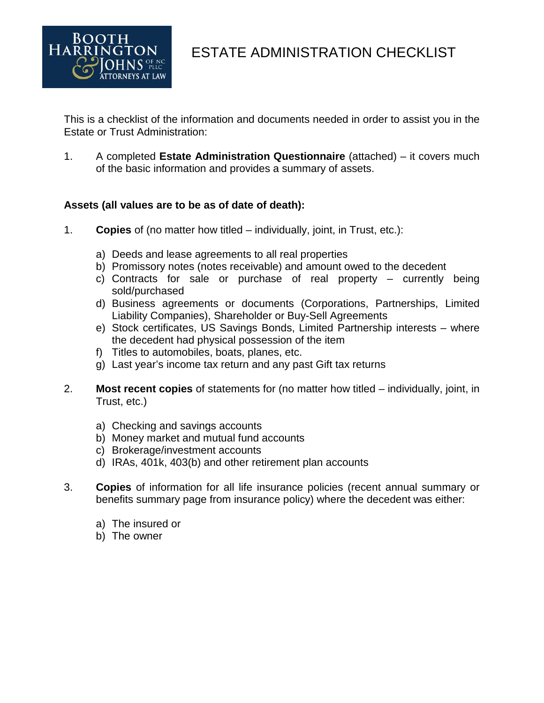

HARRINGTON ESTATE ADMINISTRATION CHECKLIST

This is a checklist of the information and documents needed in order to assist you in the Estate or Trust Administration:

1. A completed **Estate Administration Questionnaire** (attached) – it covers much of the basic information and provides a summary of assets.

## **Assets (all values are to be as of date of death):**

- 1. **Copies** of (no matter how titled individually, joint, in Trust, etc.):
	- a) Deeds and lease agreements to all real properties
	- b) Promissory notes (notes receivable) and amount owed to the decedent
	- c) Contracts for sale or purchase of real property currently being sold/purchased
	- d) Business agreements or documents (Corporations, Partnerships, Limited Liability Companies), Shareholder or Buy-Sell Agreements
	- e) Stock certificates, US Savings Bonds, Limited Partnership interests where the decedent had physical possession of the item
	- f) Titles to automobiles, boats, planes, etc.
	- g) Last year's income tax return and any past Gift tax returns
- 2. **Most recent copies** of statements for (no matter how titled individually, joint, in Trust, etc.)
	- a) Checking and savings accounts
	- b) Money market and mutual fund accounts
	- c) Brokerage/investment accounts
	- d) IRAs, 401k, 403(b) and other retirement plan accounts
- 3. **Copies** of information for all life insurance policies (recent annual summary or benefits summary page from insurance policy) where the decedent was either:
	- a) The insured or
	- b) The owner